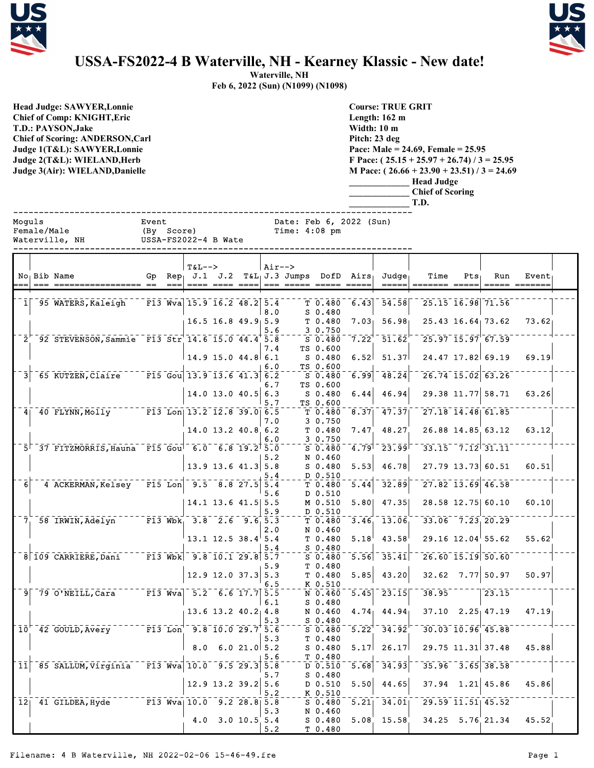



## **USSA-FS2022-4 B Waterville, NH - Kearney Klassic - New date!**

**Waterville, NH Feb 6, 2022 (Sun) (N1099) (N1098)**

|                                                                                                                                                                                                                                          |                     |                                                        | FED 0, 2022 (SUII) (111022) (111026) |                                            |             |                                                                                     |                                                                                                                                                                                              |     |     |                    |  |
|------------------------------------------------------------------------------------------------------------------------------------------------------------------------------------------------------------------------------------------|---------------------|--------------------------------------------------------|--------------------------------------|--------------------------------------------|-------------|-------------------------------------------------------------------------------------|----------------------------------------------------------------------------------------------------------------------------------------------------------------------------------------------|-----|-----|--------------------|--|
| <b>Head Judge: SAWYER, Lonnie</b><br>Chief of Comp: KNIGHT, Eric<br><b>T.D.: PAYSON,Jake</b><br><b>Chief of Scoring: ANDERSON, Carl</b><br>Judge 1(T&L): SAWYER, Lonnie<br>Judge 2(T&L): WIELAND,Herb<br>Judge 3(Air): WIELAND, Danielle |                     |                                                        |                                      |                                            |             | <b>Course: TRUE GRIT</b><br>Length: $162 \text{ m}$<br>Width: 10 m<br>Pitch: 23 deg | Pace: Male = 24.69, Female = $25.95$<br>F Pace: $(25.15 + 25.97 + 26.74)$ / 3 = 25.95<br>M Pace: $(26.66 + 23.90 + 23.51)/3 = 24.69$<br><b>Head Judge</b><br><b>Chief of Scoring</b><br>T.D. |     |     |                    |  |
| Moquls<br>Female/Male<br>Waterville, NH                                                                                                                                                                                                  | Event<br>(By Score) | USSA-FS2022-4 B Wate                                   |                                      | Date: Feb 6, 2022 (Sun)<br>Time: $4:08$ pm |             |                                                                                     |                                                                                                                                                                                              |     |     |                    |  |
| No Bib Name                                                                                                                                                                                                                              | Gp                  | $T&L-->$<br>$Rep_1$ J.1 J.2 T&L <sub>1</sub> J.3 Jumps | Air-->                               |                                            | $DofD$ Airs | $Ju$ dqe                                                                            | Time                                                                                                                                                                                         | Pts | Run | Event <sub>1</sub> |  |

|                 |                                                                                           |    |                            | $T&L-->$                           |                             | Air--> |                                              |                                   |                      |                                       |                                                          |         |                       |       |  |
|-----------------|-------------------------------------------------------------------------------------------|----|----------------------------|------------------------------------|-----------------------------|--------|----------------------------------------------|-----------------------------------|----------------------|---------------------------------------|----------------------------------------------------------|---------|-----------------------|-------|--|
|                 | No Bib Name                                                                               | Gp |                            |                                    |                             |        | $Rep_1$ J.1 J.2 T&L $_1$ J.3 Jumps DofD Airs |                                   |                      | Judge <sub>1</sub>                    | Time                                                     | $Pts_1$ | Run                   | Event |  |
|                 | === ================= ==                                                                  |    | $=$ $=$ $=$ $\blacksquare$ |                                    |                             |        | ==== ==== ====  === ===== ===== =====        |                                   |                      |                                       | =====  ======= =====                                     |         | ===== =======         |       |  |
|                 |                                                                                           |    |                            |                                    |                             |        |                                              |                                   |                      |                                       |                                                          |         |                       |       |  |
|                 | 1 95 WATERS, Kaleigh                                                                      |    |                            | $^{-1}$ F13 Wva 15.9 16.2 48.2 5.4 |                             |        |                                              | T 0.480                           | 6.43                 | $\bar{5}\bar{4}\bar{.}\bar{5}\bar{8}$ |                                                          |         | 25.15 16.98 71.56     |       |  |
|                 |                                                                                           |    |                            |                                    |                             | 8.0    |                                              | $S$ 0.480                         |                      |                                       |                                                          |         |                       |       |  |
|                 |                                                                                           |    |                            |                                    | $16.5$ 16.8 49.9 5.9        |        |                                              | T 0.480                           | 7.03 <sub>1</sub>    | 56.98                                 |                                                          |         | $25.43$ 16.64 73.62   | 73.62 |  |
|                 |                                                                                           |    |                            |                                    |                             | 5.6    |                                              | 3 0.750                           |                      |                                       |                                                          |         |                       |       |  |
|                 | 2 92 STEVENSON, Sammie F13 Str 14.6 15.0 44.4 5.8                                         |    |                            |                                    |                             |        |                                              | $S$ 0.480                         | 7.22                 | $\overline{51}$ , $\overline{62}$     | $25.97$ $\overline{15.97}$ 67.59                         |         |                       |       |  |
|                 |                                                                                           |    |                            |                                    |                             | 7.4    |                                              | TS 0.600                          |                      |                                       |                                                          |         |                       |       |  |
|                 |                                                                                           |    |                            | $14.9$ 15.0 44.8 6.1               |                             |        |                                              | $S_0.480$                         | 6.52                 | 51.37                                 |                                                          |         | 24.47 17.82 69.19     | 69.19 |  |
|                 |                                                                                           |    |                            |                                    |                             | 6.0    |                                              | TS 0.600                          |                      |                                       |                                                          |         |                       |       |  |
| $\overline{3}$  | $-65$ KUTZEN, Claire F15 Gou 13.9 13.6 41.3 6.2                                           |    |                            |                                    |                             |        |                                              | S 0.480                           | 6.99                 | 48.24                                 | $26.74$ 15.02 63.26                                      |         |                       |       |  |
|                 |                                                                                           |    |                            |                                    | $14.0$ 13.0 $40.5$ 6.3      | 6.7    |                                              | TS 0.600                          |                      | 46.94                                 | 29.38 11.77 58.71                                        |         |                       | 63.26 |  |
|                 |                                                                                           |    |                            |                                    |                             | 5.7    |                                              | S 0.480<br>TS 0.600               | 6.44                 |                                       |                                                          |         |                       |       |  |
|                 | 4 40 FLYNN, Molly F13 Lon 13.2 12.8 39.0 6.5                                              |    |                            |                                    |                             |        |                                              | T 0.480                           | 8.37                 | 47.37                                 | $27.18$ $14.48$ 61.85                                    |         |                       |       |  |
|                 |                                                                                           |    |                            |                                    |                             | 7.0    |                                              | 3 0.750                           |                      |                                       |                                                          |         |                       |       |  |
|                 |                                                                                           |    |                            |                                    | 14.0 13.2 40.8 6.2          |        |                                              | T 0.480                           | 7.47                 | 48.27                                 |                                                          |         | 26.88 14.85 63.12     | 63.12 |  |
|                 |                                                                                           |    |                            |                                    |                             | 6.0    |                                              | 3 0.750                           |                      |                                       |                                                          |         |                       |       |  |
|                 | 5 37 FITZMORRIS, Hauna F15 Goul 6.0 6.8 19.2 5.0                                          |    |                            |                                    |                             |        |                                              | $S$ 0.480                         | 4.79 <sup>1</sup>    | $\overline{23.99}$                    | $33.15 - 7.12$ $31.11$                                   |         |                       |       |  |
|                 |                                                                                           |    |                            |                                    |                             | 5.2    |                                              | N 0.460                           |                      |                                       |                                                          |         |                       |       |  |
|                 |                                                                                           |    |                            |                                    | $13.9$ 13.6 41.3 5.8        |        |                                              | $S_0.480$                         | 5.53                 | 46.78                                 |                                                          |         | $27.79$ 13.73 60.51   | 60.51 |  |
|                 |                                                                                           |    |                            |                                    |                             | 5.4    |                                              | D 0.510                           |                      |                                       |                                                          |         |                       |       |  |
| $\overline{6}$  | 4 ACKERMAN, Kelsey F15 Lon 9.5 8.8 27.5 5.4                                               |    |                            |                                    |                             |        |                                              | T 0.480                           | 5.44                 | 32.89                                 | $27.82$ $13.69$ $46.58$                                  |         |                       |       |  |
|                 |                                                                                           |    |                            |                                    |                             | 5.6    |                                              | D 0.510                           |                      |                                       |                                                          |         |                       |       |  |
|                 |                                                                                           |    |                            |                                    | 14.1 13.6 41.5 5.5          |        |                                              | M 0.510                           |                      | $5.80$ 47.35                          |                                                          |         | 28.58 12.75 60.10     | 60.10 |  |
|                 |                                                                                           |    |                            |                                    |                             | 5.9    |                                              | D 0.510                           |                      |                                       |                                                          |         |                       |       |  |
|                 | 7 58 IRWIN, Adelyn F13 Wbk, 3.8 2.6 9.6 5.3                                               |    |                            |                                    |                             |        |                                              | T 0.480                           |                      | $3.46 - 13.06$                        | $33.06$ 7.23 20.29                                       |         |                       |       |  |
|                 |                                                                                           |    |                            |                                    |                             | 2.0    |                                              | N 0.460                           |                      |                                       |                                                          |         |                       |       |  |
|                 |                                                                                           |    |                            |                                    | $13.1$ $12.5$ $38.4$ 5.4    | 5.4    |                                              | T 0.480<br>$S$ 0.480              | 5.18                 | 43.58                                 |                                                          |         | $29.16$ $12.04$ 55.62 | 55.62 |  |
|                 | 8 109 CARRIERE, Dani F13 Wbk 9.8 10.1 29.8 5.7                                            |    |                            |                                    |                             |        |                                              | $S \ 0.480$                       |                      | $\overline{5.56}$ $\overline{35.41}$  | $26.60$ $15.19$ $50.60$                                  |         |                       |       |  |
|                 |                                                                                           |    |                            |                                    |                             | 5.9    |                                              | T 0.480                           |                      |                                       |                                                          |         |                       |       |  |
|                 |                                                                                           |    |                            |                                    | $12.9$ 12.0 37.3 5.3        |        |                                              | T 0.480                           | 5.85                 | 43.20                                 | $32.62$ 7.77 50.97                                       |         |                       | 50.97 |  |
|                 |                                                                                           |    |                            |                                    |                             | 6.5    |                                              | K 0.510                           |                      |                                       |                                                          |         |                       |       |  |
|                 | $9^{\degree}79^{\degree}0$ 'NEILL, Cara $7^{\degree}713^{\degree}$ Wva                    |    |                            |                                    | $-5.2 - 6.6$ 17.7 $5.5$     |        |                                              | N 0.460                           | $\left[5.45\right]$  | $\bar{2}\bar{3}.15$                   | $\overline{38.95}$                                       |         | $\overline{23.15}$    |       |  |
|                 |                                                                                           |    |                            |                                    |                             | 6.1    |                                              | $S_0.480$                         |                      |                                       |                                                          |         |                       |       |  |
|                 |                                                                                           |    |                            |                                    | $13.6$ 13.2 40.2 4.8        |        |                                              | N 0.460                           | 4.74 <sub>1</sub>    | 44.94                                 | $37.10$ $2.25$ 47.19                                     |         |                       | 47.19 |  |
|                 |                                                                                           |    |                            |                                    |                             | 5.3    |                                              | $S$ 0.480                         |                      |                                       |                                                          |         |                       |       |  |
|                 | $10^{-7}$ 42 GOULD, Avery TI3 Lon <sup>-</sup> 9.8 10.0 29.7 5.6                          |    |                            |                                    |                             |        |                                              | $S$ 0.480                         | $5.22$ <sup>-1</sup> | 34.92                                 | $\overline{30.03}$ $\overline{10.96}$ $\overline{45.88}$ |         |                       |       |  |
|                 |                                                                                           |    |                            |                                    |                             | 5.3    |                                              | T 0.480                           |                      |                                       |                                                          |         |                       |       |  |
|                 |                                                                                           |    |                            |                                    | $8.0 \t 6.0 \t 21.0 \t 5.2$ |        |                                              | $S_0.480$                         | 5.17                 | 26.17                                 |                                                          |         | 29.75 11.31 37.48     | 45.88 |  |
|                 |                                                                                           |    |                            |                                    |                             | 5.6    |                                              | T 0.480                           |                      |                                       |                                                          |         |                       |       |  |
| $\overline{11}$ | $-85$ SALLUM, Virginia F13 Wva 10.0 9.5 29.3 5.8                                          |    |                            |                                    |                             |        |                                              | $\overline{D}$ $\overline{0.510}$ | 5.68                 | 34.93                                 | $35.96 - 3.65$ 38.58                                     |         |                       |       |  |
|                 |                                                                                           |    |                            |                                    |                             | 5.7    |                                              | $S$ 0.480                         |                      |                                       |                                                          |         |                       |       |  |
|                 |                                                                                           |    |                            |                                    | $12.9$ 13.2 39.2 5.6        | 5.2    |                                              | D 0.510<br>K 0.510                | 5.50                 | 44.65                                 |                                                          |         | $37.94$ 1.21 45.86    | 45.86 |  |
|                 | $12$ <sup>-41</sup> GILDEA, Hyde <sup>------</sup> F13 Wva <sub>l</sub> 10.0 9.2 28.8 5.8 |    |                            |                                    |                             |        |                                              | $S$ 0.480                         | 5.21                 | 34.01                                 |                                                          |         | 29.59 11.51 45.52     |       |  |
|                 |                                                                                           |    |                            |                                    |                             | 5.3    |                                              | N 0.460                           |                      |                                       |                                                          |         |                       |       |  |
|                 |                                                                                           |    |                            |                                    | 4.0 3.0 10.5 5.4            |        |                                              | $S$ 0.480                         | 5.08                 | 15.58                                 |                                                          |         | 34.25 5.76 21.34      | 45.52 |  |
|                 |                                                                                           |    |                            |                                    |                             | 5.2    |                                              | T 0.480                           |                      |                                       |                                                          |         |                       |       |  |
|                 |                                                                                           |    |                            |                                    |                             |        |                                              |                                   |                      |                                       |                                                          |         |                       |       |  |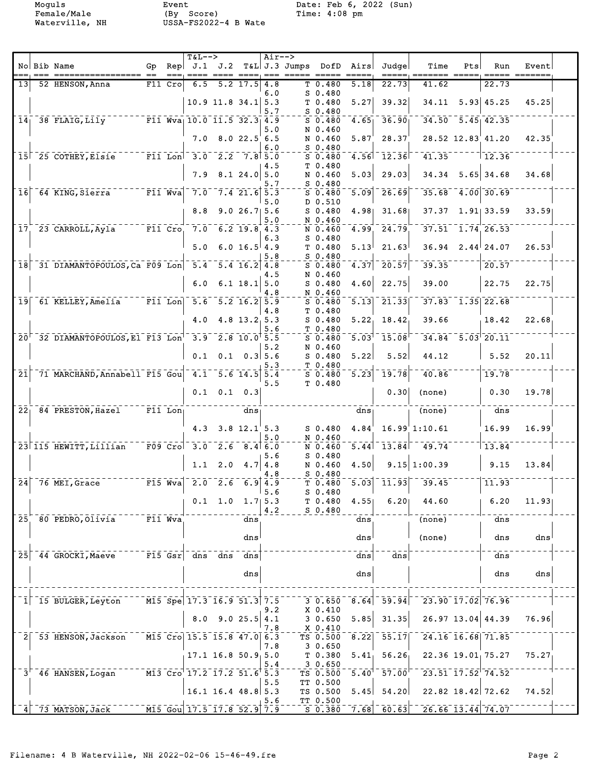Moguls Event Date: Feb 6, 2022 (Sun)<br>
Female/Male (By Score) Time: 4:08 pm

|                 |      |                                                                                    |           | $T&L-->$                                  |                                   |                  | Air-->             |                                              |                                |                                                 |                                                                            |     |                                             |                      |  |
|-----------------|------|------------------------------------------------------------------------------------|-----------|-------------------------------------------|-----------------------------------|------------------|--------------------|----------------------------------------------|--------------------------------|-------------------------------------------------|----------------------------------------------------------------------------|-----|---------------------------------------------|----------------------|--|
|                 |      | No Bib Name                                                                        |           |                                           |                                   |                  |                    |                                              |                                | Gp Rep J.1 J.2 T&L J.3 Jumps DofD Airs Judge    | Time                                                                       | Pts | Run                                         | Event<br>=== ======= |  |
| 13 <sup>1</sup> |      | 52 HENSON, Anna                                                                    | $F11$ Cro |                                           | $6.5$ $5.2$ $17.5$ $4.8$          |                  |                    | T0.480                                       | 5.18                           | 22.73                                           | 41.62                                                                      |     | 22.73                                       |                      |  |
|                 |      |                                                                                    |           |                                           | $10.9$ 11.8 34.1 5.3              |                  | 6.0<br>5.7         | $S$ 0.480<br>T <sub>0.480</sub><br>$S$ 0.480 | 5.27                           | 39.32                                           |                                                                            |     | $34.11$ $5.93$ $45.25$                      | 45.25                |  |
|                 |      | $14$ <sup>-38</sup> FLAIG, Lily F11 Wva <sub>l</sub> 10.0 11.5 32.3 4.9            |           |                                           |                                   |                  |                    | $S$ 0.480<br>N 0.460                         | 4.65                           | 36.90                                           | $34.50 - 5.45$ $42.35$                                                     |     |                                             |                      |  |
|                 |      |                                                                                    |           |                                           | $7.0$ 8.0 22.5 6.5                |                  | 5.0<br>6.0         | N 0.460<br>$S$ 0.480                         | 5.87 <sup>′</sup>              | 28.37'                                          |                                                                            |     | 28.52 12.83 41.20                           | 42.35                |  |
|                 |      |                                                                                    |           |                                           |                                   |                  |                    | $S$ 0.480                                    |                                | $\frac{1}{4.56}$ $\frac{1}{2.36}$               | $-41.35$ $-12.36$                                                          |     |                                             |                      |  |
|                 |      |                                                                                    |           |                                           | $7.9$ 8.1 24.0 5.0                |                  | 4.5<br>5.7         | T 0.480<br>N 0.460<br>$S$ 0.480              | 5.03                           | 29.03                                           |                                                                            |     | $34.34$ 5.65 34.68                          | 34.68                |  |
|                 |      | $16^-$ 64 KING, Sierra F11 Wva 7.0 7.4 21.6 5.3                                    |           |                                           |                                   |                  | 5.0                | $S_0.480$<br>D 0.510                         | 5.09                           |                                                 | $26.69$ <sup>--</sup> 35.68 <sup>-4</sup> .00 <sup>-30.69</sup>            |     |                                             |                      |  |
|                 |      |                                                                                    |           |                                           | $8.8$ 9.0 26.7 5.6                |                  | 5.0                | $S$ 0.480<br>N 0.460                         |                                |                                                 | $4.98$ 31.68 37.37 1.91 33.59                                              |     |                                             | 33.59                |  |
|                 |      | $17^{+23}$ CARROLL, Ayla F11 Cro 7.0 6.2 19.8 4.3                                  |           |                                           |                                   |                  | 6.3                | N 0.460<br>$S$ 0.480                         |                                | $4.99 - 24.79$                                  | $-37.51 - 1.74$ 26.53                                                      |     |                                             |                      |  |
|                 |      |                                                                                    |           |                                           | $5.0 \t 6.0 \t 16.5^{\dagger}4.9$ |                  | 5.8                | T 0.480<br>S 0.480                           | 5.13                           | 21.63                                           | $36.94$ $2.44$ $24.07$                                                     |     |                                             | 26.53                |  |
|                 |      | 18 31 DIAMANTOPOULOS, Ca F09 Lon 5.4 5.4 16.2 4.8                                  |           |                                           |                                   |                  |                    | $S$ 0.480                                    |                                | $4.37$ $20.57$                                  | $39.35$ <sup>------</sup> 20.57                                            |     |                                             |                      |  |
|                 |      |                                                                                    |           | 6.0                                       |                                   | $6.1$ 18.1 $5.0$ | 4.5<br>4.8         | N 0.460<br>$S_0.480$<br>N 0.460              | 4.60                           | 22.75                                           | 39.00                                                                      |     | 22.75                                       | 22.75                |  |
|                 |      | 19 61 KELLEY, Amelia 77 F11 Lon 5.6 5.2 16.2 5.9                                   |           |                                           |                                   |                  | 4.8                | $S$ 0.480<br>T 0.480                         | $\overline{5.13}$              |                                                 | $\frac{1}{21.33}$ $\frac{1}{37.83}$ $\frac{1}{1.35}$ $\frac{22.68}{22.68}$ |     |                                             |                      |  |
|                 |      |                                                                                    |           |                                           | $4.0$ $4.8$ $13.2$ 5.3            |                  | 5.6                | $S_0.480$<br>T 0.480                         |                                | $5.22$ , $18.42$                                | 39.66                                                                      |     | 18.42                                       | 22.68                |  |
|                 |      | $20^{-7}$ 32 DIAMANTOPOULOS, El F13 Lon <sup>1</sup> 3.9 2.8 10.0 <sup>1</sup> 5.5 |           |                                           |                                   |                  |                    | $S$ 0.480<br>N 0.460                         | $\overline{5.03}$ <sup>1</sup> |                                                 | $-15.\overline{08}$ $-34.84$ $-5.\overline{03}$ $-20.11$                   |     |                                             |                      |  |
|                 |      |                                                                                    |           |                                           | $0.1$ 0.1 0.3 5.6                 |                  | 5.2<br>5.3         | $S_0.480$<br>$T_{-}$ $T_{-}$ 0.480           | 5.22                           | 5.52                                            | 44.12                                                                      |     | $\vert$ 5.52                                | 20.11                |  |
|                 |      | 21 71 MARCHAND, Annabell F15 Gou 4.1 5.6 14.5 5.4                                  |           |                                           |                                   |                  | 5.5                | $S$ 0.480<br>T 0.480                         |                                |                                                 | $\sqrt{5.23}$ $\sqrt{19.78}$ $\sqrt{40.86}$                                |     | $\frac{1}{1}$ 19.78                         |                      |  |
|                 |      |                                                                                    |           |                                           | $0.1$ 0.1 0.3                     |                  |                    |                                              |                                |                                                 | $0.30$ (none)                                                              |     | $\vert 0.30 \vert$                          | 19.78                |  |
|                 |      | 22 <sub>1</sub> 84 PRESTON, Hazel F11 Lon <sub>1</sub>                             |           |                                           |                                   | $dns_1$          |                    |                                              | $dns_1$                        |                                                 | $\frac{1}{2}$ (none)                                                       |     | $ -\frac{1}{\text{dns}}$                    |                      |  |
|                 |      |                                                                                    |           |                                           | 4.3 $3.8$ 12.1 5.3                |                  | 5.0                | $S$ $0.480$<br>N 0.460                       | 4.84 <sup>′</sup>              |                                                 | 16.99'1:10.61                                                              |     | 16.99                                       | $16.99^{\circ}$      |  |
|                 |      | $23$ 115 HEWITT, Lillian F09 Cro 3.0 2.6 8.4 6.0                                   |           |                                           |                                   |                  | 5.6                | N 0.460<br>$S_0.480$                         |                                |                                                 | $\overline{5.44}$ $\overline{13.84}$ $\overline{9.74}$ $\overline{13.84}$  |     |                                             |                      |  |
|                 |      |                                                                                    |           |                                           | 1.1 2.0 4.7 4.8                   |                  | 4.8                | N 0.460<br>$S$ 0.480                         | 4.50                           |                                                 | $9.15 \mid 1:00.39$                                                        |     | $\begin{array}{c} \boxed{9.15} \end{array}$ | 13.84                |  |
|                 |      | $\sqrt{24}$ 76 MEI, Grace F15 Wva 2.0 2.6 6.9 4.9                                  |           |                                           |                                   |                  | 5.6                | $T$ 0.480 $^{-1}$<br>$S$ 0.480               |                                |                                                 | $\frac{1}{2}$ 5.03 $\frac{1}{2}$ 11.93 $\frac{1}{2}$ $\frac{1}{3}$ 39.45   |     | $\frac{1}{11.93}$                           |                      |  |
|                 |      |                                                                                    |           |                                           | $0.1 \quad 1.0$                   |                  | $1.7$   5.3<br>4.2 | T 0.480<br>$S_0.480$                         | 4.55                           | 6.20                                            | 44.60                                                                      |     | 6.20                                        | 11.93                |  |
| 25 <sup>2</sup> |      | 80 PEDRO, Olivia                                                                   | F11 Wva   |                                           |                                   | dns              |                    |                                              | dns                            |                                                 | (none)                                                                     |     | dns                                         |                      |  |
|                 |      |                                                                                    |           |                                           |                                   | dns              |                    |                                              | dns                            |                                                 | (none)                                                                     |     | dns                                         | dns                  |  |
| 25              |      | 44 GROCKI, Maeve                                                                   |           | $\overline{F15}$ $\overline{Gsr}$ dns dns |                                   | dns              |                    |                                              | dns                            | dns                                             |                                                                            |     | dns                                         |                      |  |
|                 |      |                                                                                    |           |                                           |                                   | dns              |                    |                                              | dns                            |                                                 |                                                                            |     | dns                                         | dns                  |  |
|                 |      | 15 BULGER, Leyton                                                                  |           | $\overline{M15}$ Spe 17.3 16.9 51.3 7.5   |                                   |                  |                    | 3 0.650                                      | 8.64                           | 59.94                                           |                                                                            |     | 23.90 17.02 76.96                           |                      |  |
|                 |      |                                                                                    |           |                                           | $8.0$ $9.0$ $25.5$ 4.1            |                  | 9.2                | X 0.410<br>30.650                            | 5.85                           | 31.35                                           |                                                                            |     | $26.97$ 13.04 44.39                         | 76.96                |  |
|                 |      | 53 HENSON, Jackson                                                                 |           | M15 Cro 15.5 15.8 47.0 6.3                |                                   |                  | 7.8                | X 0.410<br>TS 0.500                          | $\sqrt{8.22}$                  | 55.17                                           | $\overline{24.16}$ $\overline{16.68}$ $\overline{71.85}$                   |     |                                             |                      |  |
|                 |      |                                                                                    |           |                                           | $17.1$ 16.8 50.9 5.0              |                  | 7.8<br>5.4         | 30.650<br>T 0.380<br>30.650                  | $5.41_1$                       | 56.26                                           |                                                                            |     | $22.36$ 19.01, 75.27                        | 75.27                |  |
|                 | 3' I | 46 HANSEN, Logan                                                                   |           | M13 Cro 17.2 17.2 51.6 5.3                |                                   |                  | 5.5                | TS 0.500<br>TT 0.500                         | $5.40$ <sup>T</sup>            | $-57.00$                                        | $23.51$ $\overline{17.52}$ $\overline{74.52}$                              |     |                                             |                      |  |
|                 |      |                                                                                    |           |                                           | $16.1$ 16.4 48.8 5.3              |                  | 5.6                | TS 0.500<br>TT 0.500                         | 5.45                           | 54.20                                           |                                                                            |     | 22.82 18.42 72.62                           | 74.52                |  |
|                 |      | 73 MATSON, Jack                                                                    |           | M15 Gou 17.5 17.8 52.9 7.9                |                                   |                  |                    | $S$ 0.380                                    |                                | $7.\overline{68}$ $\overline{60}.\overline{63}$ | $726.66$ $\overline{13.44}$ 74.07                                          |     |                                             |                      |  |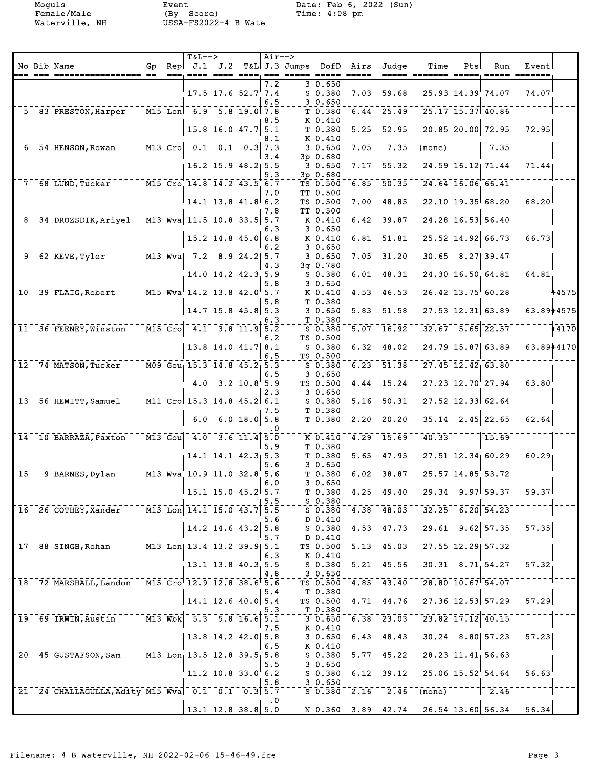Moguls Event Date: Feb 6, 2022 (Sun)<br>
Female/Male (By Score) Time: 4:08 pm

|                         |                                                              |           |                                    | $T&L-->$                                                                                |                                     |                | $Air--$    |               |                                     |                          |                                        |                                              |     |                         |                                                                                                                 |            |
|-------------------------|--------------------------------------------------------------|-----------|------------------------------------|-----------------------------------------------------------------------------------------|-------------------------------------|----------------|------------|---------------|-------------------------------------|--------------------------|----------------------------------------|----------------------------------------------|-----|-------------------------|-----------------------------------------------------------------------------------------------------------------|------------|
|                         | No Bib Name                                                  | Gp<br>$=$ |                                    | Rep $ J.1 J.2$                                                                          |                                     |                | $== =$     | T&L J.3 Jumps | DofD<br>$\qquad \qquad == \qquad =$ | Airs <br>$=$ $=$ $=$ $=$ | Judge<br>_____                         | Time                                         | Pts | Run                     | Event<br>$\qquad \qquad \doteq\qquad \qquad \doteq\qquad \qquad \doteq\qquad \qquad \doteq\qquad \qquad \qquad$ |            |
|                         |                                                              |           |                                    |                                                                                         |                                     |                | 7.2        |               | 30.650                              |                          |                                        |                                              |     |                         |                                                                                                                 |            |
|                         |                                                              |           |                                    |                                                                                         | $17.5$ 17.6 $52.7$ 7.4              |                | 6.5        |               | $S$ 0.380<br>30.650                 | 7.03                     | 59.68                                  |                                              |     | 25.93 14.39 74.07       | 74.07                                                                                                           |            |
|                         | 5 83 PRESTON, Harper                                         |           |                                    | $\overline{M15}$ Lon 6.9 5.8 19.0 7.8                                                   |                                     |                |            |               | T 0.380                             | 6.44                     | 25.49                                  |                                              |     | $25.17$ $15.37$ $40.86$ |                                                                                                                 |            |
|                         |                                                              |           |                                    |                                                                                         | $15.8$ 16.0 47.7                    |                | 8.5<br>5.1 |               | K 0.410<br>T 0.380                  | 5.25                     | 52.95                                  |                                              |     | 20.85 20.00 72.95       | 72.95                                                                                                           |            |
|                         |                                                              |           |                                    |                                                                                         |                                     |                | 8.1        |               | K 0.410                             |                          |                                        |                                              |     |                         |                                                                                                                 |            |
| 6 <sup>1</sup>          | 54 HENSON, Rowan                                             |           | $\overline{M13}$ $\overline{C}$ ro |                                                                                         | $0.1 \quad 0.1 \quad 0.3 \vert 7.3$ |                |            |               | 30.650                              | 7.05                     | 7.35                                   | (none)                                       |     | 7.35                    |                                                                                                                 |            |
|                         |                                                              |           |                                    |                                                                                         | $16.2$ 15.9 48.2 5.5                |                | 3.4        |               | 3p 0.680<br>30.650                  | 7.17 <sub>1</sub>        | 55.32                                  |                                              |     | 24.59 16.12 71.44       | 71.44                                                                                                           |            |
|                         |                                                              |           |                                    |                                                                                         |                                     |                | 5.3        |               | 3p 0.680                            |                          |                                        |                                              |     |                         |                                                                                                                 |            |
| 7.                      | 68 LUND, Tucker                                              |           |                                    | M15 Cro 14.8 14.2 43.5 6.7                                                              |                                     |                | 7.0        |               | TS 0.500<br>TT 0.500                | 6.85                     | 50.35                                  |                                              |     | $24.64$ 16.06 66.41     |                                                                                                                 |            |
|                         |                                                              |           |                                    |                                                                                         | $14.1$ 13.8 $41.8$ 6.2              |                |            |               | TS 0.500                            | 7.00                     | 48.85                                  |                                              |     | $22.10$ 19.35 68.20     | 68.20                                                                                                           |            |
| 8                       | 34 DROZSDIK, Ariyel                                          |           |                                    | M13 Wva 11.5 10.8 33.5 5.7                                                              |                                     |                | 7.8        |               | TT 0.500<br>K 0.410                 | 6.42                     | 39.87                                  |                                              |     | $24.28$ $16.53$ $56.40$ |                                                                                                                 |            |
|                         |                                                              |           |                                    |                                                                                         |                                     |                | 6.3        |               | 30.650                              |                          |                                        |                                              |     |                         |                                                                                                                 |            |
|                         |                                                              |           |                                    |                                                                                         | $15.2$ 14.8 45.0                    |                | 6.8<br>6.2 |               | K 0.410<br>30.650                   | 6.81                     | 51.81                                  |                                              |     | 25.52 14.92 66.73       | 66.73                                                                                                           |            |
|                         | $9$ $62$ KEVE, Tyler                                         |           |                                    | $\overline{M13}$ Wya  7.2 8.9 24.2                                                      |                                     |                | 5.7        |               | 30.650                              | 7.05                     | 31.20                                  |                                              |     | $30.65$ $8.27$ 39.47    |                                                                                                                 |            |
|                         |                                                              |           |                                    |                                                                                         |                                     |                | 4.3        |               | 3q 0.780                            |                          |                                        |                                              |     |                         |                                                                                                                 |            |
|                         |                                                              |           |                                    |                                                                                         | 14.0 14.2 42.3 5.9                  |                | 5.8        |               | $S$ 0.380<br>30.650                 | 6.01                     | 48.31                                  |                                              |     | 24.30 16.50 64.81       | 64.81                                                                                                           |            |
|                         | 10 39 FLAIG, Robert                                          |           |                                    | M15 Wva 14.2 13.8 42.0 5.7                                                              |                                     |                |            |               | $K$ 0.410                           | 4.53                     | 46.53                                  |                                              |     | $26.42$ $13.75$ 60.28   |                                                                                                                 | $7 - 4575$ |
|                         |                                                              |           |                                    |                                                                                         | $14.7$ 15.8 45.8 5.3                |                | 5.8        |               | T 0.380<br>30.650                   | 5.83                     | 51.58                                  |                                              |     | $27.53$ 12.31 63.89     | 63.89+4575                                                                                                      |            |
|                         |                                                              |           |                                    |                                                                                         |                                     |                | 6.3        |               | T 0.380                             |                          |                                        |                                              |     |                         |                                                                                                                 |            |
| $\overline{11}$         | 36 FEENEY, Winston                                           |           |                                    | $\overline{M15}$ $\overline{C}$ ro $\overline{14.1}$ $\overline{3.8}$ $\overline{11.9}$ |                                     |                | 5.2        |               | $S$ 0.380                           | 5.07                     | 16.92                                  |                                              |     | $32.67 - 5.65$ 22.57    |                                                                                                                 | $+4170$    |
|                         |                                                              |           |                                    |                                                                                         | $13.8$ 14.0 41.7 8.1                |                | 6.2        |               | TS 0.500<br>$S$ 0.380               | 6.32                     | 48.02                                  |                                              |     | 24.79 15.87 63.89       | 63.89+4170                                                                                                      |            |
|                         |                                                              |           |                                    |                                                                                         |                                     |                | 6.5        |               | TS 0.500                            |                          |                                        |                                              |     |                         |                                                                                                                 |            |
| $\overline{12}$         | 74 MATSON, Tucker                                            |           |                                    | M09 Gou 15.3 14.8 45.2 5.3                                                              |                                     |                | 6.5        |               | $S$ 0.380<br>30.650                 | 6.23                     | $\bar{51}.\bar{38}$                    |                                              |     | $27.45$ $12.42$ 63.80   |                                                                                                                 |            |
|                         |                                                              |           |                                    | 4.0                                                                                     |                                     | $3.2$ 10.8 5.9 |            |               | TS 0.500                            | 4.44                     | 15.24                                  |                                              |     | $27.23$ $12.70$ $27.94$ | 63.80                                                                                                           |            |
|                         | 13 56 HEWITT, Samuel                                         |           |                                    | $\overline{$ M11 Cro 15.3 14.8 45.2 6.1                                                 |                                     |                | 2.3        |               | 30.650<br>$S$ 0.380                 | 5.16                     | $\bar{ }$ 50.31                        |                                              |     | $27.52$ $12.33$ 62.64   |                                                                                                                 |            |
|                         |                                                              |           |                                    |                                                                                         |                                     |                | 7.5        |               | T 0.380                             |                          |                                        |                                              |     |                         |                                                                                                                 |            |
|                         |                                                              |           |                                    | 6.0                                                                                     |                                     | 6.0 18.0 5.8   |            |               | T 0.380                             | 2.20                     | 20.20                                  |                                              |     | $35.14$ 2.45 22.65      | 62.64                                                                                                           |            |
| 14                      | 10 BARRAZA, Paxton                                           |           | $M13$ Gou                          |                                                                                         | $4.0$ $3.6$ $11.4$ $5.0$            |                |            |               | K 0.410                             | 4.29                     | $\bar{1}\bar{5}\bar{.}\bar{6}\bar{9}$  | 40.33                                        |     | 15.69                   |                                                                                                                 |            |
|                         |                                                              |           |                                    |                                                                                         |                                     |                | 5.9        |               | T 0.380                             |                          |                                        |                                              |     |                         |                                                                                                                 |            |
|                         |                                                              |           |                                    |                                                                                         | $14.1$ $14.1$ $42.3$ 5.3            |                | 5.6        |               | T 0.380<br>30.650                   | 5.65                     | 47.95                                  |                                              |     | $27.51$ $12.34$ 60.29   | 60.29                                                                                                           |            |
| $\overline{\mathbf{1}}$ | 9 BARNES, Dylan                                              |           |                                    | M13 Wva 10.9 11.0 32.8 5.6                                                              |                                     |                |            |               | T 0.380                             | 6.02                     | 38.87                                  | 25.57 14.85 53.72                            |     |                         |                                                                                                                 |            |
|                         |                                                              |           |                                    |                                                                                         | $15.1$ 15.0 $45.2$ 5.7              |                | 6.0        |               | 30.650<br>T 0.380                   |                          | $4.25$ 49.40                           |                                              |     | $29.34$ $9.97$ 59.37    | 59.37                                                                                                           |            |
|                         |                                                              |           |                                    |                                                                                         |                                     |                | 5.5        |               | $S_{0.380}$                         |                          |                                        |                                              |     |                         |                                                                                                                 |            |
|                         | $16$ $26$ COTHEY, Xander $14.1$ $15.0$ $43.7$ $5.5$          |           |                                    |                                                                                         |                                     |                | 5.6        |               | $S$ 0.380<br>D 0.410                | 4.38                     | $\overline{48.03}$                     | $-32.25 - 6.20$ 54.23                        |     |                         |                                                                                                                 |            |
|                         |                                                              |           |                                    |                                                                                         | $14.2$ 14.6 43.2 5.8                |                |            |               | S 0.380                             | 4.53                     | 47.73                                  | $29.61$ $9.62$ 57.35                         |     |                         | 57.35                                                                                                           |            |
|                         |                                                              |           |                                    |                                                                                         |                                     |                | 5.7        |               | D 0.410                             |                          |                                        | $727.55$ $12.29$ $57.32$                     |     |                         |                                                                                                                 |            |
|                         | 17 88 SINGH, Rohan                                           |           |                                    | $\overline{M13}$ Lon  13.4 13.2 39.9  5.1                                               |                                     |                | 6.3        |               | TS 0.500<br>K 0.410                 | $\overline{5.13}$        | 45.03                                  |                                              |     |                         |                                                                                                                 |            |
|                         |                                                              |           |                                    |                                                                                         | 13.1 13.8 40.3 5.5                  |                |            |               | S 0.380                             | 5.21                     | 45.56                                  | $30.31$ $8.71$ $54.27$                       |     |                         | 57.32                                                                                                           |            |
|                         | $18^{17}$ 72 MARSHALL, Landon M15 Cro 12.9 12.8 38.6 5.6     |           |                                    |                                                                                         |                                     |                | 4.8        |               | 3 0.650<br>TS 0.500                 | $4.85$ <sup>1</sup>      | 43.40                                  | $728.80$ $10.67$ $54.07$                     |     |                         |                                                                                                                 |            |
|                         |                                                              |           |                                    |                                                                                         |                                     |                | 5.4        |               | T 0.380                             |                          |                                        |                                              |     |                         |                                                                                                                 |            |
|                         |                                                              |           |                                    |                                                                                         | $14.1$ 12.6 40.0 5.4                |                | 5.3        |               | TS 0.500<br>T 0.380                 | 4.71                     | 44.76                                  | 27.36 12.53 57.29                            |     |                         | 57.29                                                                                                           |            |
| $\overline{19}$         | $-69$ IRWIN, Austin $-$                                      |           |                                    | $\overline{M13}$ Wbk $\overline{5.3}$ $\overline{5.8}$ 16.6 5.1                         |                                     |                |            |               | $-30.650$                           | 6.38                     | $\left  \overline{23.03} \right ^{-1}$ | $23.82$ $17.12$ $40.15$                      |     |                         |                                                                                                                 |            |
|                         |                                                              |           |                                    |                                                                                         |                                     |                | 7.5        |               | K 0.410                             |                          |                                        |                                              |     |                         |                                                                                                                 |            |
|                         |                                                              |           |                                    |                                                                                         | $13.8$ 14.2 42.0 5.8                |                | 6.5        |               | 30.650<br>$K_{0.410}$               | 6.43                     | 48.43                                  | $30.24$ $8.80$ 57.23                         |     |                         | 57.23                                                                                                           |            |
|                         | 20 45 GUSTAFSON, Sam M13 Lon 13.5 12.8 39.5 5.8              |           |                                    |                                                                                         |                                     |                |            |               | S 0.380                             |                          |                                        | $\overline{5.77}$ 45.22 28.23 11.41 56.63    |     |                         |                                                                                                                 |            |
|                         |                                                              |           |                                    |                                                                                         | $11.2$ 10.8 33.0 6.2                |                | 5.5        |               | 30.650<br>$S$ 0.380                 | 6.12                     |                                        | $39.12^{1}$ 25.06 15.52 54.64                |     |                         | 56.63                                                                                                           |            |
|                         |                                                              |           |                                    |                                                                                         |                                     |                | 5.8        |               | 3 0.650                             |                          |                                        |                                              |     |                         |                                                                                                                 |            |
|                         | $21^-$ 24 CHALLAGULLA, Adity M15 Wva $-0.1^-$ 0.1 $-0.3$ 5.7 |           |                                    |                                                                                         |                                     |                | .0         |               | 50.380                              | $\overline{2.16}$        |                                        | $-2.46$ (none) 2.46                          |     |                         |                                                                                                                 |            |
|                         |                                                              |           |                                    |                                                                                         | $13.1$ 12.8 38.8 5.0                |                |            |               |                                     |                          |                                        | N 0.360 $3.89$ 42.74 26.54 13.60 56.34 56.34 |     |                         |                                                                                                                 |            |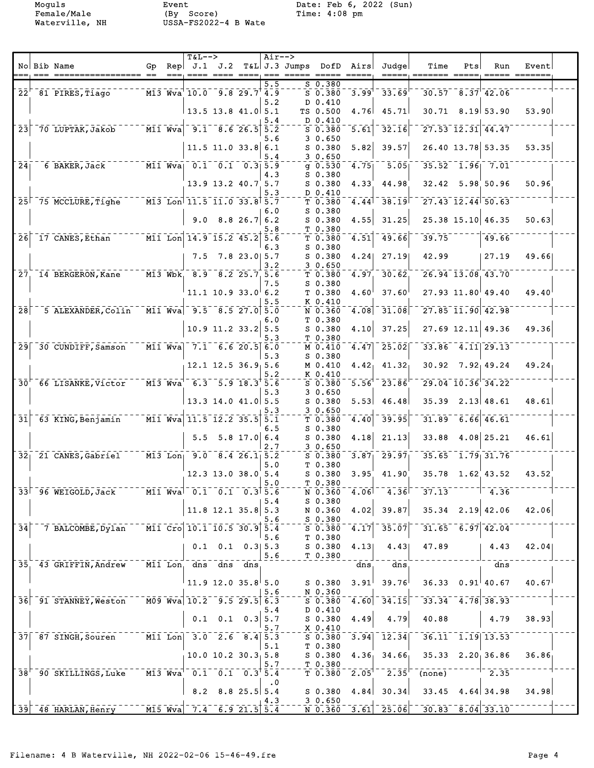Moguls Event Date: Feb 6, 2022 (Sun)<br>
Female/Male (By Score) Time: 4:08 pm

|                               |                                               |    | $T&L-->$                                                                                                |                                  |                | $Air--$    |                         |                                                           |                   |                                                         |                                                                                                                                                                                             |     |                                      |       |  |
|-------------------------------|-----------------------------------------------|----|---------------------------------------------------------------------------------------------------------|----------------------------------|----------------|------------|-------------------------|-----------------------------------------------------------|-------------------|---------------------------------------------------------|---------------------------------------------------------------------------------------------------------------------------------------------------------------------------------------------|-----|--------------------------------------|-------|--|
|                               | No Bib Name                                   | Gp | $\text{Rep}$ J.1 J.2                                                                                    |                                  |                | $==$       | T&L J.3 Jumps DofD Airs | $\qquad \qquad \doteq \qquad \qquad \doteq \qquad \qquad$ |                   | Judge                                                   | Time                                                                                                                                                                                        | Pts | Run                                  | Event |  |
|                               |                                               |    |                                                                                                         |                                  |                | 5.5        |                         | S 0.380                                                   |                   |                                                         |                                                                                                                                                                                             |     |                                      |       |  |
|                               | 22 81 PIRES, Tiago                            |    | $\overline{M13}$ $\overline{Wv}a$ $\overline{10.0}$ $\overline{9.8}$ $\overline{29.7}$ $\overline{4.9}$ |                                  |                |            |                         | 50.380                                                    | $3.99^{1}$        | 33.69                                                   |                                                                                                                                                                                             |     | $30.57 - 8.37$ <sup>-</sup> 42.06    |       |  |
|                               |                                               |    |                                                                                                         |                                  |                | 5.2        |                         | D 0.410                                                   |                   |                                                         |                                                                                                                                                                                             |     |                                      |       |  |
|                               |                                               |    | $13.5$ 13.8 41.0 5.1                                                                                    |                                  |                |            |                         | TS 0.500                                                  | 4.76              | 45.71                                                   |                                                                                                                                                                                             |     | $30.71$ 8.19 53.90                   | 53.90 |  |
|                               |                                               |    |                                                                                                         |                                  |                | 5.4        |                         | D 0.410                                                   |                   |                                                         |                                                                                                                                                                                             |     |                                      |       |  |
| 23                            | 70 LUPTAK, Jakob                              |    | $\overline{M11}$ Wva $\overline{9.1}$ $\overline{8.6}$ 26.5                                             |                                  |                | 5.2        |                         | $S$ 0.380                                                 | 5.61              | 32.16                                                   |                                                                                                                                                                                             |     | $27.53$ $12.31$ $44.47$              |       |  |
|                               |                                               |    |                                                                                                         |                                  |                | 5.6        |                         | 30.650                                                    |                   |                                                         |                                                                                                                                                                                             |     |                                      |       |  |
|                               |                                               |    |                                                                                                         | $11.5$ 11.0 33.8 6.1             |                |            |                         | $S$ 0.380                                                 | 5.82              | 39.57                                                   |                                                                                                                                                                                             |     | 26.40 13.78 53.35                    | 53.35 |  |
| 241                           |                                               |    | $\overline{M11}$ Wya 0.1 0.1 0.3 5.9                                                                    |                                  |                | 5.4        |                         | 30.650<br>$q$ 0.530                                       | 4.75              | $\bar{5.05}$                                            |                                                                                                                                                                                             |     | $35.52 - 1.96 - 7.01$                |       |  |
|                               | 6 BAKER, Jack                                 |    |                                                                                                         |                                  |                | 4.3        |                         | $S_0.380$                                                 |                   |                                                         |                                                                                                                                                                                             |     |                                      |       |  |
|                               |                                               |    |                                                                                                         | 13.9 13.2 40.7 5.7               |                |            |                         | $S$ 0.380                                                 | 4.33              | 44.98                                                   |                                                                                                                                                                                             |     | $32.42$ $5.98$ 50.96                 | 50.96 |  |
|                               |                                               |    |                                                                                                         |                                  |                | 5.3        |                         | D 0.410                                                   |                   |                                                         |                                                                                                                                                                                             |     |                                      |       |  |
|                               | 25 75 MCCLURE, Tighe                          |    | $\bar{11.5}$ $\bar{11.5}$ $\bar{11.0}$ $\bar{33.8}$ $\bar{5.7}$                                         |                                  |                |            |                         | T 0.380                                                   | 4.44              | 38.19                                                   |                                                                                                                                                                                             |     | $27.43$ $12.44$ 50.63                |       |  |
|                               |                                               |    |                                                                                                         |                                  |                | 6.0        |                         | $S$ 0.380                                                 |                   |                                                         |                                                                                                                                                                                             |     |                                      |       |  |
|                               |                                               |    |                                                                                                         | $9.0$ 8.8 26.7 6.2               |                |            |                         | $S$ 0.380                                                 | 4.55              | 31.25                                                   |                                                                                                                                                                                             |     | 25.38 15.10 46.35                    | 50.63 |  |
|                               |                                               |    |                                                                                                         |                                  |                | 5.8        |                         | T <sub>0.380</sub>                                        |                   |                                                         |                                                                                                                                                                                             |     |                                      |       |  |
|                               | $26$ <sup>-17</sup> CANES, Ethan <sup>-</sup> |    | M11 Lon 14.9 15.2 45.2 5.6                                                                              |                                  |                | 6.3        |                         | T 0.380<br>$S$ 0.380                                      | 4.51              | 49.66                                                   | 39.75                                                                                                                                                                                       |     | 49.66                                |       |  |
|                               |                                               |    | 7.5                                                                                                     |                                  | $7.8$ 23.0 5.7 |            |                         | $S$ 0.380                                                 | 4.24              | 27.19                                                   | 42.99                                                                                                                                                                                       |     | 27.19                                | 49.66 |  |
|                               |                                               |    |                                                                                                         |                                  |                | 3.2        |                         | 30.650                                                    |                   |                                                         |                                                                                                                                                                                             |     |                                      |       |  |
| $\bar{2}\bar{7}$ .            | 14 BERGERON, Kane                             |    | M13 Wbk 8.9 8.2 25.7 5.6                                                                                |                                  |                |            |                         | T0.380                                                    | 4.97              | 30.62                                                   | $26.94$ 13.08 43.70                                                                                                                                                                         |     |                                      |       |  |
|                               |                                               |    |                                                                                                         |                                  |                | 7.5        |                         | $S_0.380$                                                 |                   |                                                         |                                                                                                                                                                                             |     |                                      |       |  |
|                               |                                               |    |                                                                                                         | $11.1$ 10.9 33.0 6.2             |                |            |                         | T 0.380                                                   | 4.60 <sup>1</sup> | 37.60                                                   |                                                                                                                                                                                             |     | $27.93$ 11.80 49.40                  | 49.40 |  |
|                               |                                               |    |                                                                                                         |                                  |                | 5.5        |                         | K 0.410                                                   |                   |                                                         |                                                                                                                                                                                             |     |                                      |       |  |
| $\overline{28}$               | 5 ALEXANDER, Colin                            |    | $\overline{M11}$ Wva $\overline{9.5}$ $\overline{8.5}$ 27.0 5.0                                         |                                  |                |            |                         | $N$ 0.360                                                 | 4.08              | $\bar{\bar{}}$ 31.08 $\bar{\bar{}}$                     | $727.85$ $11.90$ $42.98$                                                                                                                                                                    |     |                                      |       |  |
|                               |                                               |    |                                                                                                         | $10.9$ 11.2 33.2                 |                | 6.0<br>5.5 |                         | T 0.380<br>$S$ 0.380                                      | 4.10              | 37.25                                                   |                                                                                                                                                                                             |     | $27.69$ 12.11 49.36                  | 49.36 |  |
|                               |                                               |    |                                                                                                         |                                  |                | 5.3        |                         | T 0.380                                                   |                   |                                                         |                                                                                                                                                                                             |     |                                      |       |  |
| $\overline{29}$               | 30 CUNDIFF, Samson                            |    | $\overline{M11}$ Wva $\overline{7.1}$ $\overline{6.6}$ 20.5 $\overline{6.0}$                            |                                  |                |            |                         | M 0.410                                                   | 4.47              | $\overline{25.02}$                                      |                                                                                                                                                                                             |     | $33.86$ $4.11$ $29.13$               |       |  |
|                               |                                               |    |                                                                                                         |                                  |                | 5.3        |                         | $S$ 0.380                                                 |                   |                                                         |                                                                                                                                                                                             |     |                                      |       |  |
|                               |                                               |    |                                                                                                         | $12.1$ $12.5$ $36.9$ $5.6$       |                |            |                         | M 0.410                                                   | 4.42 <sub>1</sub> | 41.32                                                   |                                                                                                                                                                                             |     | $30.92$ $7.92$ $49.24$               | 49.24 |  |
|                               |                                               |    |                                                                                                         |                                  |                | 5.2        |                         | K 0.410                                                   |                   |                                                         |                                                                                                                                                                                             |     |                                      |       |  |
| $\bar{3}\bar{0}$ <sup>r</sup> | 66 LISANKE, Victor                            |    | M13 Wva 6.3 5.9 18.3 5.6                                                                                |                                  |                |            |                         | $S$ 0.380                                                 | 5.56              | 23.86                                                   |                                                                                                                                                                                             |     | $29.04$ $10.36$ $34.22$              |       |  |
|                               |                                               |    | $13.3$ 14.0 41.0 5.5                                                                                    |                                  |                | 5.3        |                         | 30.650                                                    |                   |                                                         | 35.39                                                                                                                                                                                       |     |                                      |       |  |
|                               |                                               |    |                                                                                                         |                                  |                | 5.3        |                         | $S$ 0.380<br>30.650                                       | 5.53              | 46.48                                                   |                                                                                                                                                                                             |     | 2.13 48.61                           | 48.61 |  |
| $\bar{3}\bar{1}$              | 63 KING, Benjamin                             |    | $\overline{M11}$ Wva $\overline{11.5}$ $\overline{12.2}$ $\overline{35.5}$ $\overline{5.1}$             |                                  |                |            |                         | T 0.380                                                   | 4.40              | 39.95                                                   |                                                                                                                                                                                             |     | $31.89 - 6.66$ 46.61                 |       |  |
|                               |                                               |    |                                                                                                         |                                  |                | 6.5        |                         | $S$ 0.380                                                 |                   |                                                         |                                                                                                                                                                                             |     |                                      |       |  |
|                               |                                               |    | 5.5                                                                                                     |                                  | $5.8$ 17.0 6.4 |            |                         | $S$ 0.380                                                 | 4.18              | 21.13                                                   | 33.88                                                                                                                                                                                       |     | $4.08$ 25.21                         | 46.61 |  |
|                               |                                               |    |                                                                                                         |                                  |                | 2.7        |                         | 30.650                                                    |                   |                                                         |                                                                                                                                                                                             |     |                                      |       |  |
|                               | 32 21 CANES, Gabriel                          |    | M13 Lon <sub>1</sub> 9.0 8.4 26.1 <sub>1</sub> 5.2                                                      |                                  |                |            |                         | $S$ 0.380                                                 | 3.87              | 29.97                                                   |                                                                                                                                                                                             |     | $35.65 - 1.79 - 31.76$               |       |  |
|                               |                                               |    |                                                                                                         |                                  |                | 5.0        |                         | T 0.380                                                   |                   |                                                         |                                                                                                                                                                                             |     |                                      |       |  |
|                               |                                               |    |                                                                                                         | 12.3 13.0 38.0 5.4               |                | 5.0        |                         | $S$ 0.380<br>T 0.380                                      | 3.95              | 41.90                                                   |                                                                                                                                                                                             |     | $35.78$ 1.62 43.52                   | 43.52 |  |
|                               | 33 <sup>1</sup> 96 WEIGOLD, Jack              |    | M11 Wva 0.1 0.1 0.3 5.6                                                                                 |                                  |                |            |                         | N 0.360                                                   | 4.06              |                                                         | $4.36$ <sup>-37.13</sup>                                                                                                                                                                    |     | $\begin{array}{cc} 4.36 \end{array}$ |       |  |
|                               |                                               |    |                                                                                                         |                                  |                | 5.4        |                         | $S$ 0.380                                                 |                   |                                                         |                                                                                                                                                                                             |     |                                      |       |  |
|                               |                                               |    |                                                                                                         | $11.8$ 12.1 35.8 5.3             |                |            |                         | N 0.360                                                   | 4.02              | 39.87                                                   | $35.34$ $2.19$ $42.06$                                                                                                                                                                      |     |                                      | 42.06 |  |
|                               |                                               |    |                                                                                                         |                                  |                | 5.6        |                         | $S$ 0.380                                                 |                   |                                                         |                                                                                                                                                                                             |     |                                      |       |  |
| 34                            | 7 BALCOMBE, Dylan                             |    | M11 Cro 10.1 10.5 30.9 5.4                                                                              |                                  |                |            |                         | S 0.380                                                   | 4.17              | 35.07                                                   | $-31.65 - 6.97$ 42.04                                                                                                                                                                       |     |                                      |       |  |
|                               |                                               |    |                                                                                                         | $0.1$ $0.1$ $0.3$ 5.3            |                | 5.6        |                         | T 0.380<br>$S$ 0.380                                      | 4.13              | 4.43                                                    | 47.89                                                                                                                                                                                       |     | 4.43                                 | 42.04 |  |
|                               |                                               |    |                                                                                                         |                                  |                | 5.6        |                         | T 0.380                                                   |                   |                                                         |                                                                                                                                                                                             |     |                                      |       |  |
|                               | 35, 43 GRIFFIN, Andrew                        |    | M11 Lon, dns dns dns                                                                                    |                                  |                |            |                         |                                                           | dns               | $\overline{ans}$                                        |                                                                                                                                                                                             |     | dns                                  |       |  |
|                               |                                               |    |                                                                                                         |                                  |                |            |                         |                                                           |                   |                                                         |                                                                                                                                                                                             |     |                                      |       |  |
|                               |                                               |    | $11.9$ 12.0 35.8 5.0                                                                                    |                                  |                |            |                         | S 0.380                                                   | 3.91 <sup>1</sup> | 39.76                                                   |                                                                                                                                                                                             |     | $36.33$ $0.91$ 40.67                 | 40.67 |  |
|                               |                                               |    |                                                                                                         |                                  |                | 5.6        |                         | N 0.360                                                   |                   |                                                         |                                                                                                                                                                                             |     |                                      |       |  |
|                               | 36 91 STANNEY, Weston                         |    | $\overline{M09}$ Wva 10.2 9.5 29.5 6.3                                                                  |                                  |                |            |                         | 50.380                                                    | 4.60              | $\overline{3}\overline{4}\cdot\overline{1}\overline{5}$ | $33.34$ $4.78$ $38.93$                                                                                                                                                                      |     |                                      |       |  |
|                               |                                               |    |                                                                                                         | $0.1 \quad 0.1 \quad 0.3 \, 5.7$ |                | 5.4        |                         | D 0.410<br>$S$ 0.380                                      | 4.49              | 4.79                                                    | 40.88                                                                                                                                                                                       |     | 4.79                                 | 38.93 |  |
|                               |                                               |    |                                                                                                         |                                  |                | 5.7        |                         | X 0.410                                                   |                   |                                                         |                                                                                                                                                                                             |     |                                      |       |  |
|                               | 37 87 SINGH, Souren                           |    | $\boxed{\text{M11} \quad \text{Lon}}$ 3.0 2.6 8.4 5.3                                                   |                                  |                |            |                         | $S$ 0.380                                                 | 3.94              | $\overline{1}\overline{2}\cdot\overline{3}\overline{4}$ |                                                                                                                                                                                             |     | $36.11 - 1.19$ 13.53                 |       |  |
|                               |                                               |    |                                                                                                         |                                  |                | 5.1        |                         | T 0.380                                                   |                   |                                                         |                                                                                                                                                                                             |     |                                      |       |  |
|                               |                                               |    | $10.0$ 10.2 30.3 5.8                                                                                    |                                  |                |            |                         | S 0.380                                                   |                   |                                                         | $4.36$ , $34.66$ , $35.33$ $2.20$ , $36.86$                                                                                                                                                 |     |                                      | 36.86 |  |
|                               |                                               |    |                                                                                                         |                                  |                | 5.7        |                         | T 0.380                                                   |                   |                                                         |                                                                                                                                                                                             |     |                                      |       |  |
|                               | 38 <sup>'</sup> 90 SKILLINGS, Luke            |    | $\overline{M13}$ $\overline{W}$ va <sup>1</sup> 0.1 0.1 0.3 5.4                                         |                                  |                |            |                         | T 0.380                                                   | $2.05^{\dagger}$  |                                                         | $2.35$ <sup><math>-</math></sup> (none) <sup>--</sup>                                                                                                                                       |     | $-1 - 2.35$                          |       |  |
|                               |                                               |    |                                                                                                         |                                  |                | $\cdot$ 0  |                         |                                                           |                   |                                                         |                                                                                                                                                                                             |     |                                      |       |  |
|                               |                                               |    |                                                                                                         | $8.2$ $8.8$ $25.5$ 5.4           |                |            |                         | $S$ 0.380                                                 |                   | $4.84$ 30.34                                            | $33.45$ 4.64 34.98                                                                                                                                                                          |     |                                      | 34.98 |  |
|                               | 39 48 HARLAN, Henry                           |    | $\overline{M15}$ $\overline{Wv}a$ 7.4 6.9 21.5 5.4                                                      |                                  |                | 4.3        |                         | 30.650<br>N 0.360                                         |                   |                                                         | $\begin{bmatrix} 3.61 \end{bmatrix}$ $\begin{bmatrix} 25.06 \end{bmatrix}$ $\begin{bmatrix} 30.83 \end{bmatrix}$ $\begin{bmatrix} 8.04 \end{bmatrix}$ $\begin{bmatrix} 33.10 \end{bmatrix}$ |     |                                      |       |  |
|                               |                                               |    |                                                                                                         |                                  |                |            |                         |                                                           |                   |                                                         |                                                                                                                                                                                             |     |                                      |       |  |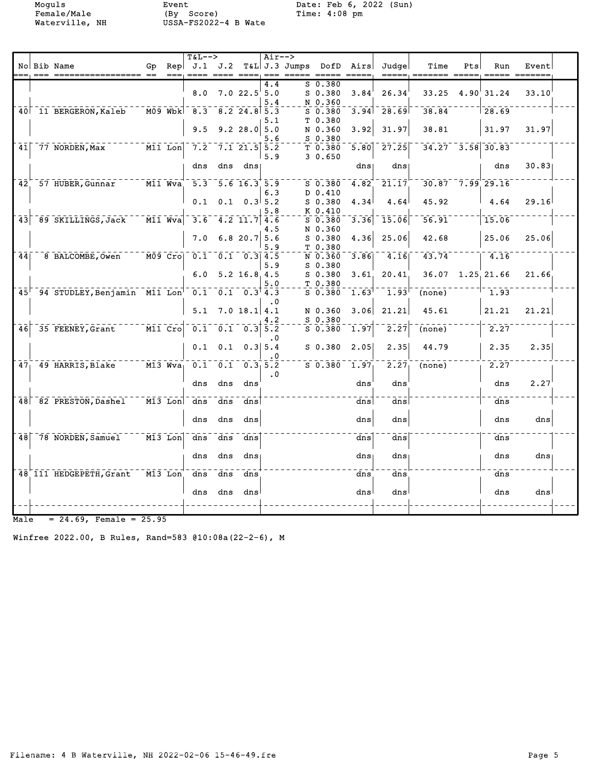Moguls Event Date: Feb 6, 2022 (Sun)

|                 |                              |    |                                                   | $T&L-->$ |             |                                                                     | $Air--$   |               |             |      |                                 |        |     |                      |       |  |
|-----------------|------------------------------|----|---------------------------------------------------|----------|-------------|---------------------------------------------------------------------|-----------|---------------|-------------|------|---------------------------------|--------|-----|----------------------|-------|--|
|                 | No Bib Name                  | Gp | Rep                                               | J.1      | J.2         |                                                                     |           | T&L J.3 Jumps | DofD        | Airs | Judgel                          | Time   | Pts | Run                  | Event |  |
|                 |                              |    |                                                   |          |             |                                                                     | 4.4       |               | S 0.380     |      |                                 |        |     |                      |       |  |
|                 |                              |    |                                                   | 8.0      |             | 7.022.55.0                                                          |           |               | $S$ 0.380   | 3.84 | 26.34                           | 33.25  |     | 4.90 31.24           | 33.10 |  |
|                 |                              |    |                                                   |          |             |                                                                     | 5.4       |               | N 0.360     |      |                                 |        |     |                      |       |  |
|                 | 40 11 BERGERON, Kaleb        |    | $\overline{M09}$ $\overline{Wb}$ k $\overline{K}$ | $-8.3$   |             | $8.2$ 24.8 5.3                                                      |           |               | $S$ $0.380$ | 3.94 | 28.69                           | 38.84  |     | 28.69                |       |  |
|                 |                              |    |                                                   |          |             |                                                                     | 5.1       |               | T 0.380     |      |                                 |        |     |                      |       |  |
|                 |                              |    |                                                   | 9.5      |             | 9.2 28.0                                                            | 5.0       |               | N 0.360     | 3.92 | 31.97                           | 38.81  |     | 31.97                | 31.97 |  |
|                 |                              |    |                                                   |          |             |                                                                     | 5.6       |               | $S_0.380$   |      |                                 |        |     |                      |       |  |
| 41              | $77$ NORDEN, Max             |    | $\overline{M11}$ Lon                              | 7.2      |             | $7.1$ 21.5 5.2                                                      |           |               | T 0.380     | 5.80 | 27.25                           |        |     | $34.27 - 3.58$ 30.83 |       |  |
|                 |                              |    |                                                   |          |             |                                                                     | 5.9       |               | 30.650      |      |                                 |        |     |                      |       |  |
|                 |                              |    |                                                   | dns      | dns         | dns                                                                 |           |               |             | dns  | dns                             |        |     | dns                  | 30.83 |  |
|                 |                              |    |                                                   |          |             |                                                                     |           |               |             |      |                                 |        |     |                      |       |  |
| $42^{\degree}$  | 57 HUBER, Gunnar             |    | $\overline{M11}$ $Wva$                            |          |             | $5.3 - 5.6 - 16.3 + 5.9$                                            |           |               | $S$ 0.380   | 4.82 | 21.17                           |        |     | $30.87 - 7.99$ 29.16 |       |  |
|                 |                              |    |                                                   |          |             |                                                                     | 6.3       |               | D 0.410     |      |                                 |        |     |                      |       |  |
|                 |                              |    |                                                   | 0.1      |             | $0.1 \quad 0.3 \, 5.2$                                              |           |               | S 0.380     | 4.34 | 4.64                            | 45.92  |     | 4.64                 | 29.16 |  |
|                 |                              |    |                                                   |          |             |                                                                     | 5.8       |               | K 0.410     |      |                                 |        |     |                      |       |  |
| 43              | 89 SKILLINGS, Jack           |    | $\overline{M11}$ $\overline{W}$ va                | 3.6      |             | 4.2 11.7                                                            | 4.6       |               | $S$ 0.380   | 3.36 | 15.06                           | 56.91  |     | 15.06                |       |  |
|                 |                              |    |                                                   |          |             |                                                                     | 4.5       |               | N 0.360     |      |                                 |        |     |                      |       |  |
|                 |                              |    |                                                   | 7.0      |             | $6.8$ 20.7 5.6                                                      |           |               | $S$ 0.380   | 4.36 | 25.06                           | 42.68  |     | 25.06                | 25.06 |  |
|                 |                              |    |                                                   |          |             |                                                                     | 5.9       |               | T0.380      |      |                                 |        |     |                      |       |  |
| 44              | 8 BALCOMBE, Owen             |    | $\overline{MO9}$ $\overline{Cro}$                 |          |             | $0.1 \quad 0.1 \quad 0.3$ 4.5                                       |           |               | N 0.360     | 3.86 | 4.16                            | 43.74  |     | 4.16                 |       |  |
|                 |                              |    |                                                   |          |             |                                                                     | 5.9       |               | $S$ 0.380   |      |                                 |        |     |                      |       |  |
|                 |                              |    |                                                   | 6.0      |             | 5.2 16.8 4.5                                                        |           |               | $S$ 0.380   | 3.61 | 20.41                           | 36.07  |     | 1.25 21.66           | 21.66 |  |
|                 |                              |    |                                                   |          |             |                                                                     | 5.0       |               | T 0.380     |      |                                 |        |     |                      |       |  |
| 45 <sup>1</sup> | 94 STUDLEY, Benjamin M11 Lon |    |                                                   |          |             | $\overline{0.1}$ $\overline{0.1}$ $\overline{0.3}$ $\overline{4.3}$ |           |               | $S$ 0.380   | 1.63 | 1.93 <sup>1</sup>               | (none) |     | 1.93                 |       |  |
|                 |                              |    |                                                   |          |             |                                                                     | . 0       |               |             |      |                                 |        |     |                      |       |  |
|                 |                              |    |                                                   | 5.1      |             | $7.0$ 18.1 4.1                                                      |           |               | N 0.360     | 3.06 | 21.21                           | 45.61  |     | 21.21                | 21.21 |  |
|                 |                              |    |                                                   |          |             |                                                                     |           |               | $S_0.380$   |      |                                 |        |     |                      |       |  |
| 46              | 35 FEENEY, Grant             |    | $\overline{$ M11 $\overline{}$ $\overline{Cro}$   |          | $0.1 - 0.1$ | $\sqrt{0.3}$                                                        | 5.2       |               | $S$ 0.380   | 1.97 | $\bar{2} \cdot \bar{2} \bar{7}$ | (none) |     | 2.27                 |       |  |
|                 |                              |    |                                                   |          |             |                                                                     | . 0       |               |             |      |                                 |        |     |                      |       |  |
|                 |                              |    |                                                   | 0.1      | 0.1         |                                                                     | $0.3$ 5.4 |               | $S$ 0.380   | 2.05 | 2.35                            | 44.79  |     | 2.35                 | 2.35  |  |
|                 |                              |    |                                                   |          |             |                                                                     |           |               |             |      |                                 |        |     |                      |       |  |
| 47 <sub>1</sub> | 49 HARRIS, Blake             |    | $M13$ Wva                                         |          | $0.1 - 0.1$ | 0.3, 5.2                                                            |           |               | $S$ 0.380   | 1.97 | $\bar{2} \cdot \bar{2} \bar{7}$ | (none) |     | 2.27                 |       |  |
|                 |                              |    |                                                   |          |             |                                                                     | $\cdot$ 0 |               |             |      |                                 |        |     |                      |       |  |
|                 |                              |    |                                                   | dns      | dns         | dns                                                                 |           |               |             | dns  | dns                             |        |     | dns                  | 2.27  |  |
|                 |                              |    |                                                   |          |             |                                                                     |           |               |             |      |                                 |        |     |                      |       |  |
|                 | 48 82 PRESTON, Dashel        |    | $M13$ Lon                                         | dns      | dns         | dns                                                                 |           |               |             | dnsl | dns                             |        |     | dns                  |       |  |
|                 |                              |    |                                                   |          |             |                                                                     |           |               |             |      |                                 |        |     |                      |       |  |
|                 |                              |    |                                                   | dns      | dns         | dns                                                                 |           |               |             | dns  | dns                             |        |     | dns                  | dns   |  |
|                 |                              |    |                                                   |          |             |                                                                     |           |               |             |      |                                 |        |     |                      |       |  |
| 48              | 78 NORDEN, Samuel            |    | $M13$ Lon                                         | dns      | dns         | dns                                                                 |           |               |             | dns  | dns                             |        |     | dns                  |       |  |
|                 |                              |    |                                                   |          |             |                                                                     |           |               |             |      |                                 |        |     |                      |       |  |
|                 |                              |    |                                                   | dns      | dns         | dns                                                                 |           |               |             | dns  | dns                             |        |     | dns                  | dns   |  |
|                 |                              |    |                                                   |          |             |                                                                     |           |               |             |      |                                 |        |     |                      |       |  |
|                 | 48 111 HEDGEPETH, Grant      |    | $\overline{M13}$ Lon                              | dns      | dns         | dns                                                                 |           |               |             | dns  | $\overline{dns}$                |        |     | dns                  |       |  |
|                 |                              |    |                                                   |          |             |                                                                     |           |               |             |      |                                 |        |     |                      |       |  |
|                 |                              |    |                                                   | dns      | dns         | dns                                                                 |           |               |             | dns  | dns                             |        |     | dns                  | dns   |  |
|                 |                              |    |                                                   |          |             |                                                                     |           |               |             |      |                                 |        |     |                      |       |  |
|                 |                              |    |                                                   |          |             |                                                                     |           |               |             |      |                                 |        |     |                      |       |  |

 $Male = 24.69$ , Female =  $25.95$ 

Winfree 2022.00, B Rules, Rand=583 @10:08a(22-2-6), M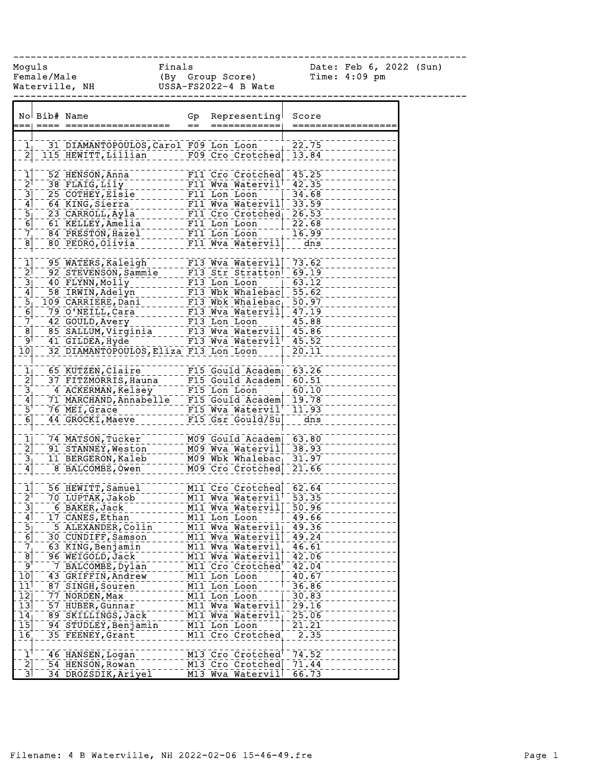------------------------------------------------------------------------------

Moguls Finals Date: Feb 6, 2022 (Sun) Female/Male (By Group Score) Time: 4:09 pm Waterville, NH USSA-FS2022-4 B Wate

|                                        | No Bib# Name |                                                                                                                                                                                                                                           | Gp<br>$=$ | Representing<br>============                     | Score<br>===========   |
|----------------------------------------|--------------|-------------------------------------------------------------------------------------------------------------------------------------------------------------------------------------------------------------------------------------------|-----------|--------------------------------------------------|------------------------|
|                                        |              |                                                                                                                                                                                                                                           |           |                                                  |                        |
| $\overline{1}$                         |              | 31 DIAMANTOPOULOS, Carol F09 Lon Loon                                                                                                                                                                                                     |           |                                                  | 22.75                  |
| $\bar{2}$                              |              | 115 HEWITT, Lillian F09 Cro Crotched                                                                                                                                                                                                      |           |                                                  | 13.84                  |
|                                        |              |                                                                                                                                                                                                                                           |           |                                                  |                        |
| $\mathbf{\bar{1}}$                     |              | 52 HENSON, Anna                                                                                                                                                                                                                           |           | F11 Cro Crotched 45.25                           |                        |
| $\bar{2}^{\dagger}$                    |              | $38$ FLAIG, Lily                                                                                                                                                                                                                          |           | F11 Wya Watervil <sup>1-</sup> 42.35             |                        |
| $\overline{3}$                         |              | 25 COTHEY, Elsie                                                                                                                                                                                                                          |           | F11 Lon Loon                                     | 34.68                  |
| $\mathbf{4}$                           |              | 64 KING, Sierra                                                                                                                                                                                                                           |           | F11 Wya Wateryil 33.59                           |                        |
| $\begin{bmatrix} 5 \\ 6 \end{bmatrix}$ |              | 23 CARROLL, Ayla                                                                                                                                                                                                                          |           | F11 Cro Crotched <sub>1</sub> 26.53              |                        |
|                                        |              | 61 KELLEY, Amelia                                                                                                                                                                                                                         |           | F11 Lon Loon                                     | 22.68                  |
| $\frac{7}{8}$                          |              | 84 PRESTON, Hazel                                                                                                                                                                                                                         |           | F11 Lon Loon                                     | 16.99                  |
|                                        |              | 80 PEDRO, Olivia                                                                                                                                                                                                                          |           | F11 Wva Watervil                                 | dns                    |
|                                        |              |                                                                                                                                                                                                                                           |           |                                                  |                        |
| $\frac{1}{2}$                          |              | 95 WATERS, Raleigh                                                                                                                                                                                                                        |           | $F13$ Wva Watervil 73.62                         |                        |
|                                        |              | 92 STEVENSON, Sammie                                                                                                                                                                                                                      |           | F13 Str Stratton                                 | $-69.19$               |
| $\overline{3}$                         |              | 40 FLYNN, Molly                                                                                                                                                                                                                           |           | $F13$ Lon Loon                                   | $-63.12$               |
| $\overline{4}$                         |              | 58 IRWIN, Adelyn                                                                                                                                                                                                                          |           | F13 Wbk Whalebac 55.62                           |                        |
| $\overline{5}$                         |              | 109 CARRIERE, Dani-------- F13 Wbk Whalebac - 50.07<br>79 O'NEILL, Cara<br>42 GOULD, Avery ------- F13 Wva Watervil - 47.19<br>85 SALLUM, Virginia ------ F13 Wva Watervil - 45.88<br>41 GILDEA, Hyde ------ F13 Wva Watervil - 45.86<br> |           |                                                  |                        |
| $\bar{6}$                              |              |                                                                                                                                                                                                                                           |           |                                                  |                        |
| $\bar{7}^+$                            |              |                                                                                                                                                                                                                                           |           |                                                  |                        |
| $\overline{8}$                         |              |                                                                                                                                                                                                                                           |           |                                                  |                        |
| ⊺و⊺                                    |              |                                                                                                                                                                                                                                           |           |                                                  |                        |
| $\bar{1}\bar{0}\bar{1}$                |              | 32 DIAMANTOPOULOS, Eliza F13 Lon Loon                                                                                                                                                                                                     |           |                                                  | 20.11                  |
| $\overline{1_1}$                       |              | 65 KUTZEN, Claire                                                                                                                                                                                                                         |           | $F15$ Gould Academ 63.26                         |                        |
| $\overline{2}$                         |              |                                                                                                                                                                                                                                           |           |                                                  |                        |
|                                        |              | 37 FITZMORRIS, Hauna F15 Gould Academ 60.51                                                                                                                                                                                               |           |                                                  | 60.10                  |
| $\frac{3}{4}$                          |              | 4 ACKERMAN, Kelsey   1915 Lon Loon   1967.10<br>  71 MARCHAND, Annabelle   F15 Gould Academ  19.78<br>  72 MARCHAND, Annabelle   F15 Gould Academ  19.78                                                                                  |           |                                                  |                        |
| $\bar{5}^{\dagger}$                    |              | 76 MEI, Grace                                                                                                                                                                                                                             |           | F15 Wva Watervil <sup>+</sup> 11.93              |                        |
| $\overline{6}$ ]                       |              | 44 GROCKI, Maeve                                                                                                                                                                                                                          |           | F15 Gsr Gould/Su                                 | $\frac{1}{\text{dns}}$ |
|                                        |              |                                                                                                                                                                                                                                           |           |                                                  |                        |
| $\bar{1}\bar{1}$                       |              | 74 MATSON, Tucker                                                                                                                                                                                                                         |           | M09 Gould Academ 63.80                           |                        |
| $\overline{2}$                         |              | 91 STANNEY, Weston                                                                                                                                                                                                                        |           | M09 Wva Watervil                                 | 38.93                  |
| $\overline{3}^{\pm}_{\parallel}$       |              | 11 BERGERON, Kaleb                                                                                                                                                                                                                        |           | M09 Wbk Whalebac                                 | 31.97                  |
| $\mathbf{A}$                           |              | 8 BALCOMBE, Owen                                                                                                                                                                                                                          |           | M09 Cro Crotched                                 | 21.66                  |
|                                        |              |                                                                                                                                                                                                                                           |           |                                                  |                        |
| $\mathbf{1}^{\mathsf{T}}$              |              | 56 HEWITT, Samuel                                                                                                                                                                                                                         |           | MII Cro Crotched 62.64<br>MII Wya Watervil 53.35 |                        |
| $\bar{2}^{\dagger}$                    |              | 70 LUPTAK, Jakob                                                                                                                                                                                                                          |           |                                                  |                        |
| $\overline{3}$                         |              | 6 BAKER, Jack                                                                                                                                                                                                                             |           | MII Wya Wateryii 50.96                           |                        |
| $\overline{4}$                         |              | 17 CANES, Ethan                                                                                                                                                                                                                           |           | M11 Lon Loon                                     | 49.66                  |
| $\begin{bmatrix} 5 \\ 6 \end{bmatrix}$ |              | 5 ALEXANDER, Colin                                                                                                                                                                                                                        |           | M11 Wva Watervill 49.36                          |                        |
|                                        |              | 30 CUNDIFF, Samson                                                                                                                                                                                                                        |           | M11 Wva Watervil                                 | 49.24                  |
| 7 <sub>j</sub>                         |              | 63 KING, Benjamin                                                                                                                                                                                                                         |           | M11 Wva Watervil                                 | 46.61                  |
| $\bar{8}$                              |              | 96 WEIGOLD, Jack                                                                                                                                                                                                                          |           | M11 Wva Watervil                                 | 42.06                  |
| ⊺و⊺                                    |              | 7 BALCOMBE, Dylan                                                                                                                                                                                                                         |           | M11 Cro Crotched                                 | 42.04                  |
| $\overline{1}\overline{0}$             |              | 43 GRIFFIN, Andrew                                                                                                                                                                                                                        |           | M11 Lon Loon                                     | 40.67                  |
| $11^1$                                 |              | 87 SINGH, Souren                                                                                                                                                                                                                          |           | M11 Lon Loon                                     | 36.86                  |
| $\overline{1}\overline{2}$             |              | 77 NORDEN, Max                                                                                                                                                                                                                            |           | M11 Lon Loon                                     | 30.83                  |
| $\overline{13}$                        |              | 57 HUBER, Gunnar                                                                                                                                                                                                                          |           | M11 Wva Watervil                                 | 29.16                  |
| $\overline{14}$                        |              | 89 SKILLINGS, Jack                                                                                                                                                                                                                        |           | M11 Wva Watervil                                 | 25.06                  |
| $\overline{1}\overline{5}$             |              | 94 STUDLEY, Benjamin                                                                                                                                                                                                                      |           | M11 Lon Loon                                     | 21.21                  |
| $\overline{16}$                        |              | 35 FEENEY, Grant                                                                                                                                                                                                                          |           | M11 Cro Crotched                                 | 2.35                   |
| $\mathbf{1}^{\dagger}$                 |              | 46 HANSEN, Logan                                                                                                                                                                                                                          |           | M13 Cro Crotched                                 | 74.52                  |
| $\overline{2}$                         |              | 54 HENSON, Rowan                                                                                                                                                                                                                          |           | M13 Cro Crotched                                 | 71.44                  |
| $\overline{3}$                         |              | 34 DROZSDIK, Ariyel                                                                                                                                                                                                                       |           | M13 Wva Watervil                                 | 66.73                  |
|                                        |              |                                                                                                                                                                                                                                           |           |                                                  |                        |